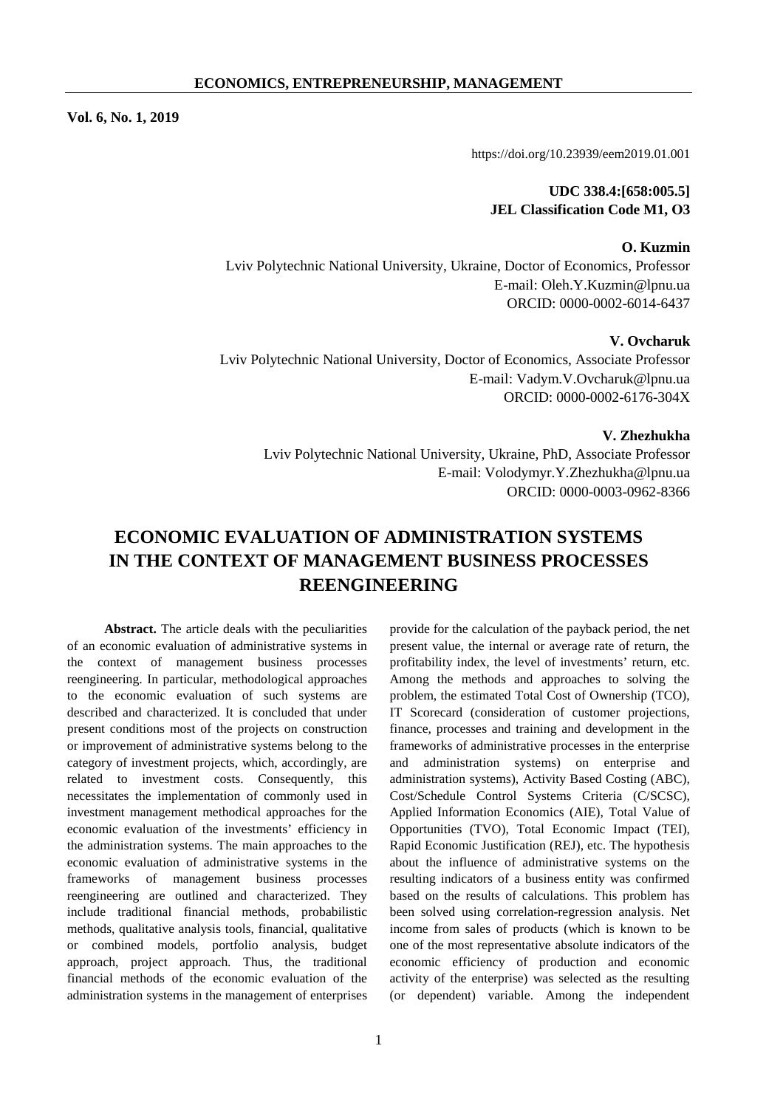**Vol. 6, No. 1, 2019** 

https://doi.org/10.23939/eem2019.01.001

## **UDC 338.4:[658:005.5] JEL Classification Code M1, О3**

#### **O. Kuzmin**

Lviv Polytechnic National University, Ukraine, Doctor of Economics, Professor E-mail: Oleh.Y.Kuzmin@lpnu.ua ORCID: 0000-0002-6014-6437

## **V. Ovcharuk**

Lviv Polytechnic National University, Doctor of Economics, Associate Professor E-mail: Vadym.V.Ovcharuk@lpnu.ua ORCID: 0000-0002-6176-304X

**V. Zhezhukha** 

Lviv Polytechnic National University, Ukraine, PhD, Associate Professor E-mail: Volodymyr.Y.Zhezhukha@lpnu.ua ORCID: 0000-0003-0962-8366

# **ECONOMIC EVALUATION OF ADMINISTRATION SYSTEMS IN THE CONTEXT OF MANAGEMENT BUSINESS PROCESSES REENGINEERING**

**Abstract.** The article deals with the peculiarities of an economic evaluation of administrative systems in the context of management business processes reengineering. In particular, methodological approaches to the economic evaluation of such systems are described and characterized. It is concluded that under present conditions most of the projects on construction or improvement of administrative systems belong to the category of investment projects, which, accordingly, are related to investment costs. Consequently, this necessitates the implementation of commonly used in investment management methodical approaches for the economic evaluation of the investments' efficiency in the administration systems. The main approaches to the economic evaluation of administrative systems in the frameworks of management business processes reengineering are outlined and characterized. They include traditional financial methods, probabilistic methods, qualitative analysis tools, financial, qualitative or combined models, portfolio analysis, budget approach, project approach. Thus, the traditional financial methods of the economic evaluation of the administration systems in the management of enterprises

administration systems), Activity Based Costing (ABC), Cost/Schedule Control Systems Criteria (C/SCSC), Applied Information Economics (AIE), Total Value of Opportunities (TVO), Total Economic Impact (TEI), Rapid Economic Justification (REJ), etc. The hypothesis about the influence of administrative systems on the resulting indicators of a business entity was confirmed based on the results of calculations. This problem has been solved using correlation-regression analysis. Net income from sales of products (which is known to be one of the most representative absolute indicators of the economic efficiency of production and economic activity of the enterprise) was selected as the resulting (or dependent) variable. Among the independent

provide for the calculation of the payback period, the net present value, the internal or average rate of return, the profitability index, the level of investments' return, etc. Among the methods and approaches to solving the problem, the estimated Total Cost of Ownership (TCO), IT Scorecard (consideration of customer projections, finance, processes and training and development in the frameworks of administrative processes in the enterprise and administration systems) on enterprise and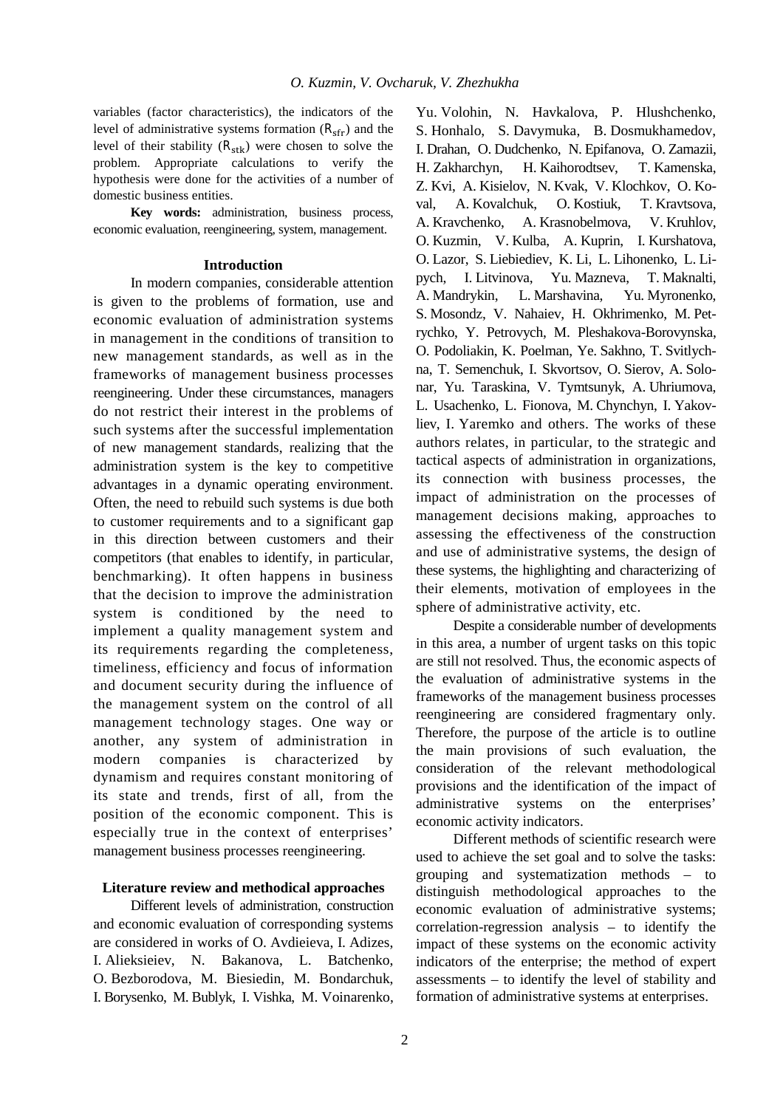variables (factor characteristics), the indicators of the level of administrative systems formation  $(R_{\rm sfr})$  and the level of their stability  $(R_{\rm stk})$  were chosen to solve the problem. Appropriate calculations to verify the hypothesis were done for the activities of a number of domestic business entities.

**Key words:** administration, business process, economic evaluation, reengineering, system, management.

## **Introduction**

In modern companies, considerable attention is given to the problems of formation, use and economic evaluation of administration systems in management in the conditions of transition to new management standards, as well as in the frameworks of management business processes reengineering. Under these circumstances, managers do not restrict their interest in the problems of such systems after the successful implementation of new management standards, realizing that the administration system is the key to competitive advantages in a dynamic operating environment. Often, the need to rebuild such systems is due both to customer requirements and to a significant gap in this direction between customers and their competitors (that enables to identify, in particular, benchmarking). It often happens in business that the decision to improve the administration system is conditioned by the need to implement a quality management system and its requirements regarding the completeness, timeliness, efficiency and focus of information and document security during the influence of the management system on the control of all management technology stages. One way or another, any system of administration in modern companies is characterized by dynamism and requires constant monitoring of its state and trends, first of all, from the position of the economic component. This is especially true in the context of enterprises' management business processes reengineering.

## **Literature review and methodical approaches**

Different levels of administration, construction and economic evaluation of corresponding systems are considered in works of O. Avdieieva, I. Adizes, I. Alieksieiev, N. Bakanova, L. Batchenko, O. Bezborodova, M. Biesiedin, M. Bondarchuk, I. Borysenko, M. Bublyk, I. Vishka, M. Voinarenko,

Yu. Volohin, N. Havkalova, P. Hlushchenko, S. Honhalo, S. Davymuka, B. Dosmukhamedov, I. Drahan, O. Dudchenko, N. Epifanova, O. Zamazii, H. Zakharchyn, H. Kaihorodtsev, T. Kamenska, Z. Kvi, A. Kisielov, N. Kvak, V. Klochkov, O. Koval, A. Kovalchuk, O. Kostiuk, T. Kravtsova, A. Kravchenko, A. Krasnobelmova, V. Kruhlov, O. Kuzmin, V. Kulba, A. Kuprin, I. Kurshatova, O. Lazor, S. Liebiediev, K. Li, L. Lihonenko, L. Lipych, I. Litvinova, Yu. Mazneva, T. Maknalti, A. Mandrykin, L. Marshavina, Yu. Myronenko, S. Mosondz, V. Nahaiev, H. Okhrimenko, M. Petrychko, Y. Petrovych, M. Pleshakova-Borovynska, O. Podoliakin, K. Poelman, Ye. Sakhno, T. Svitlychna, T. Semenchuk, I. Skvortsov, O. Sierov, A. Solonar, Yu. Taraskina, V. Tymtsunyk, A. Uhriumova, L. Usachenko, L. Fionova, M. Chynchyn, I. Yakovliev, I. Yaremko and others. The works of these authors relates, in particular, to the strategic and tactical aspects of administration in organizations, its connection with business processes, the impact of administration on the processes of management decisions making, approaches to assessing the effectiveness of the construction and use of administrative systems, the design of these systems, the highlighting and characterizing of their elements, motivation of employees in the sphere of administrative activity, etc.

Despite a considerable number of developments in this area, a number of urgent tasks on this topic are still not resolved. Thus, the economic aspects of the evaluation of administrative systems in the frameworks of the management business processes reengineering are considered fragmentary only. Therefore, the purpose of the article is to outline the main provisions of such evaluation, the consideration of the relevant methodological provisions and the identification of the impact of administrative systems on the enterprises' economic activity indicators.

Different methods of scientific research were used to achieve the set goal and to solve the tasks: grouping and systematization methods – to distinguish methodological approaches to the economic evaluation of administrative systems; correlation-regression analysis – to identify the impact of these systems on the economic activity indicators of the enterprise; the method of expert assessments – to identify the level of stability and formation of administrative systems at enterprises.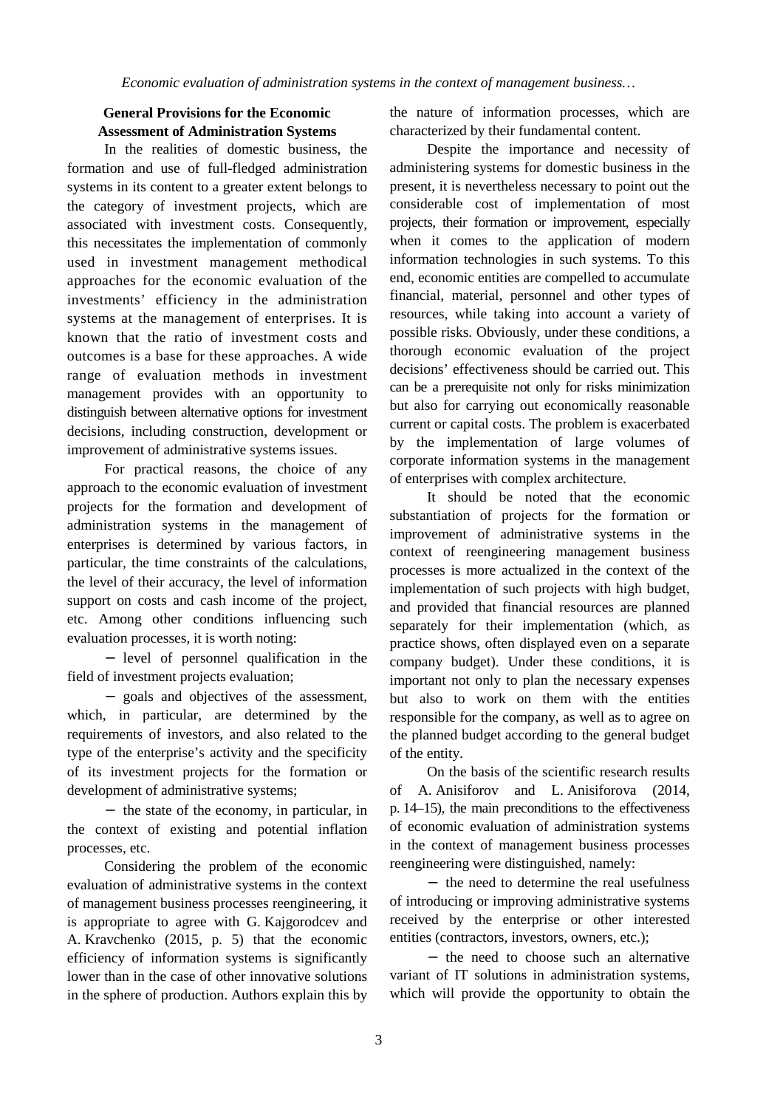## **General Provisions for the Economic Assessment of Administration Systems**

In the realities of domestic business, the formation and use of full-fledged administration systems in its content to a greater extent belongs to the category of investment projects, which are associated with investment costs. Consequently, this necessitates the implementation of commonly used in investment management methodical approaches for the economic evaluation of the investments' efficiency in the administration systems at the management of enterprises. It is known that the ratio of investment costs and outcomes is a base for these approaches. A wide range of evaluation methods in investment management provides with an opportunity to distinguish between alternative options for investment decisions, including construction, development or improvement of administrative systems issues.

For practical reasons, the choice of any approach to the economic evaluation of investment projects for the formation and development of administration systems in the management of enterprises is determined by various factors, in particular, the time constraints of the calculations, the level of their accuracy, the level of information support on costs and cash income of the project, etc. Among other conditions influencing such evaluation processes, it is worth noting:

level of personnel qualification in the field of investment projects evaluation;

goals and objectives of the assessment, which, in particular, are determined by the requirements of investors, and also related to the type of the enterprise's activity and the specificity of its investment projects for the formation or development of administrative systems;

- the state of the economy, in particular, in the context of existing and potential inflation processes, etc.

Considering the problem of the economic evaluation of administrative systems in the context of management business processes reengineering, it is appropriate to agree with G. Kajgorodcev and A. Kravchenko (2015, p. 5) that the economic efficiency of information systems is significantly lower than in the case of other innovative solutions in the sphere of production. Authors explain this by the nature of information processes, which are characterized by their fundamental content.

Despite the importance and necessity of administering systems for domestic business in the present, it is nevertheless necessary to point out the considerable cost of implementation of most projects, their formation or improvement, especially when it comes to the application of modern information technologies in such systems. To this end, economic entities are compelled to accumulate financial, material, personnel and other types of resources, while taking into account a variety of possible risks. Obviously, under these conditions, a thorough economic evaluation of the project decisions' effectiveness should be carried out. This can be a prerequisite not only for risks minimization but also for carrying out economically reasonable current or capital costs. The problem is exacerbated by the implementation of large volumes of corporate information systems in the management of enterprises with complex architecture.

It should be noted that the economic substantiation of projects for the formation or improvement of administrative systems in the context of reengineering management business processes is more actualized in the context of the implementation of such projects with high budget, and provided that financial resources are planned separately for their implementation (which, as practice shows, often displayed even on a separate company budget). Under these conditions, it is important not only to plan the necessary expenses but also to work on them with the entities responsible for the company, as well as to agree on the planned budget according to the general budget of the entity.

On the basis of the scientific research results of A. Anisiforov and L. Anisiforova (2014, p. 14–15), the main preconditions to the effectiveness of economic evaluation of administration systems in the context of management business processes reengineering were distinguished, namely:

- the need to determine the real usefulness of introducing or improving administrative systems received by the enterprise or other interested entities (contractors, investors, owners, etc.);

- the need to choose such an alternative variant of IT solutions in administration systems, which will provide the opportunity to obtain the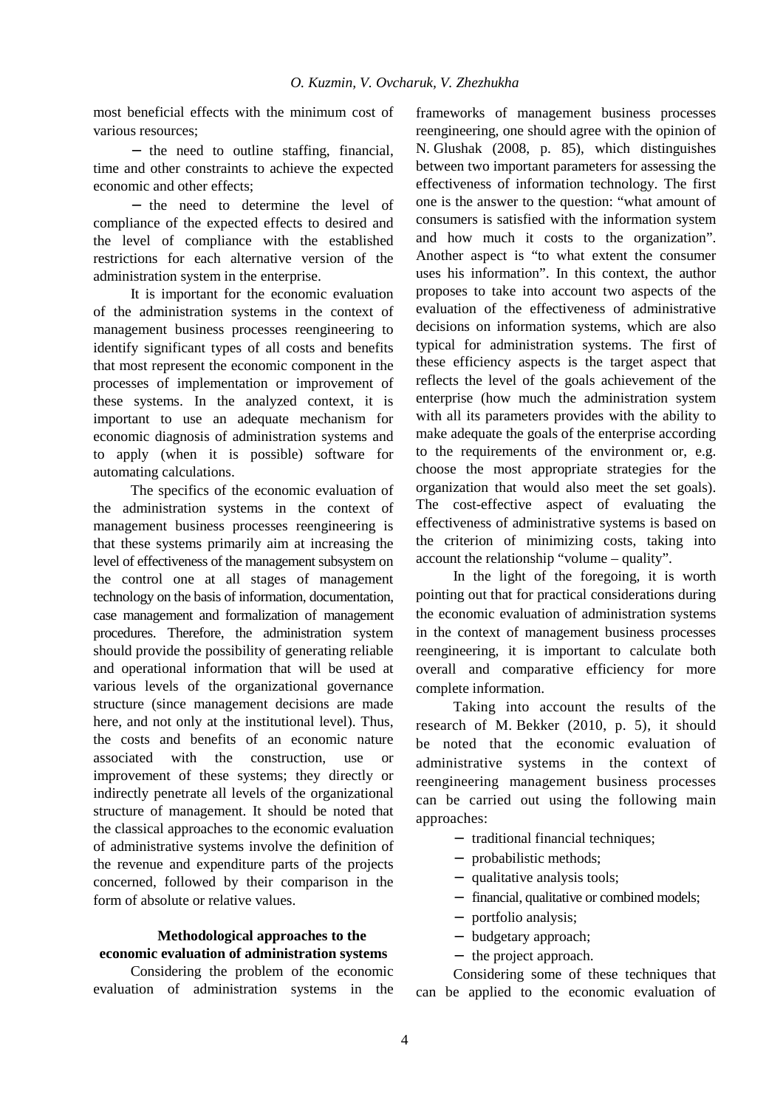most beneficial effects with the minimum cost of various resources;

- the need to outline staffing, financial, time and other constraints to achieve the expected economic and other effects;

- the need to determine the level of compliance of the expected effects to desired and the level of compliance with the established restrictions for each alternative version of the administration system in the enterprise.

It is important for the economic evaluation of the administration systems in the context of management business processes reengineering to identify significant types of all costs and benefits that most represent the economic component in the processes of implementation or improvement of these systems. In the analyzed context, it is important to use an adequate mechanism for economic diagnosis of administration systems and to apply (when it is possible) software for automating calculations.

The specifics of the economic evaluation of the administration systems in the context of management business processes reengineering is that these systems primarily aim at increasing the level of effectiveness of the management subsystem on the control one at all stages of management technology on the basis of information, documentation, case management and formalization of management procedures. Therefore, the administration system should provide the possibility of generating reliable and operational information that will be used at various levels of the organizational governance structure (since management decisions are made here, and not only at the institutional level). Thus, the costs and benefits of an economic nature associated with the construction, use or improvement of these systems; they directly or indirectly penetrate all levels of the organizational structure of management. It should be noted that the classical approaches to the economic evaluation of administrative systems involve the definition of the revenue and expenditure parts of the projects concerned, followed by their comparison in the form of absolute or relative values.

# **Methodological approaches to the economic evaluation of administration systems**

Considering the problem of the economic evaluation of administration systems in the frameworks of management business processes reengineering, one should agree with the opinion of N. Glushak (2008, p. 85), which distinguishes between two important parameters for assessing the effectiveness of information technology. The first one is the answer to the question: "what amount of consumers is satisfied with the information system and how much it costs to the organization". Another aspect is "to what extent the consumer uses his information". In this context, the author proposes to take into account two aspects of the evaluation of the effectiveness of administrative decisions on information systems, which are also typical for administration systems. The first of these efficiency aspects is the target aspect that reflects the level of the goals achievement of the enterprise (how much the administration system with all its parameters provides with the ability to make adequate the goals of the enterprise according to the requirements of the environment or, e.g. choose the most appropriate strategies for the organization that would also meet the set goals). The cost-effective aspect of evaluating the effectiveness of administrative systems is based on the criterion of minimizing costs, taking into account the relationship "volume – quality".

In the light of the foregoing, it is worth pointing out that for practical considerations during the economic evaluation of administration systems in the context of management business processes reengineering, it is important to calculate both overall and comparative efficiency for more complete information.

Taking into account the results of the research of M. Bekker (2010, p. 5), it should be noted that the economic evaluation of administrative systems in the context of reengineering management business processes can be carried out using the following main approaches:

- $\blacksquare$ traditional financial techniques;
- probabilistic methods;
- qualitative analysis tools;  $\mathbf{r}$
- financial, qualitative or combined models;  $\mathbf{r}$
- portfolio analysis;
- budgetary approach;  $\mathbf{r}$
- the project approach.  $\omega$  .

Considering some of these techniques that can be applied to the economic evaluation of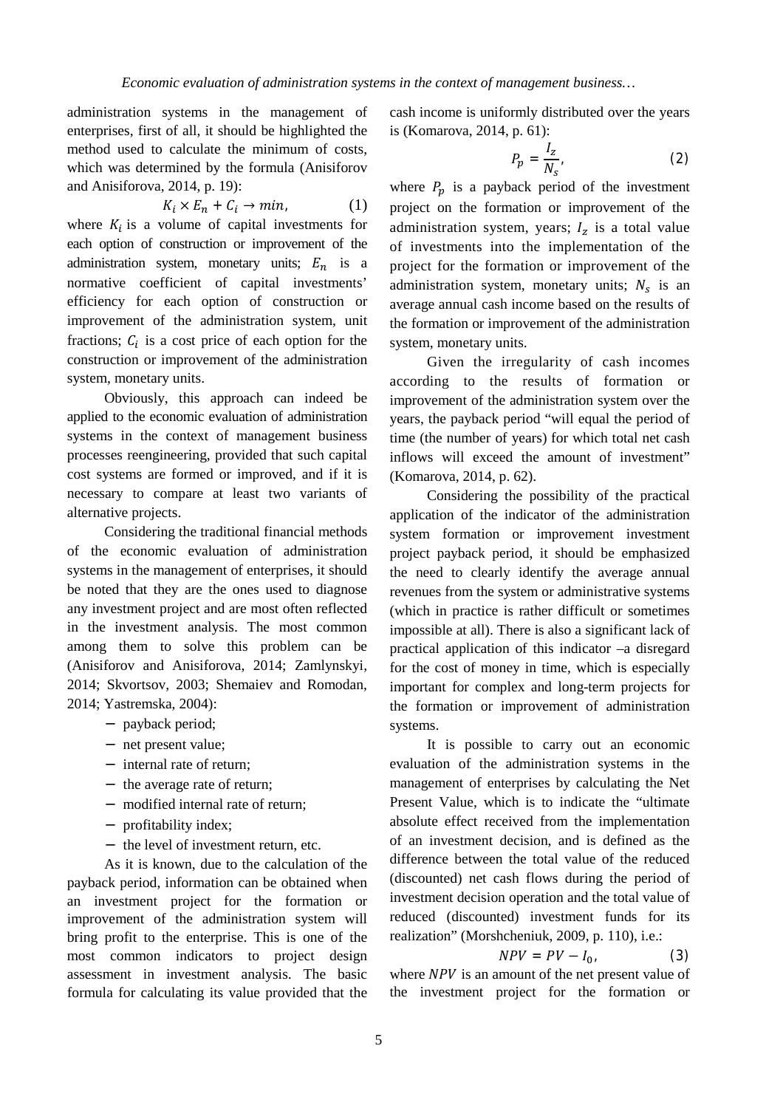administration systems in the management of enterprises, first of all, it should be highlighted the method used to calculate the minimum of costs, which was determined by the formula (Anisiforov and Anisiforova, 2014, p. 19):

$$
K_i \times E_n + C_i \to \min,\tag{1}
$$

where  $K_i$  is a volume of capital investments for each option of construction or improvement of the administration system, monetary units;  $E_n$  is a normative coefficient of capital investments' efficiency for each option of construction or improvement of the administration system, unit fractions;  $C_i$  is a cost price of each option for the construction or improvement of the administration system, monetary units.

Obviously, this approach can indeed be applied to the economic evaluation of administration systems in the context of management business processes reengineering, provided that such capital cost systems are formed or improved, and if it is necessary to compare at least two variants of alternative projects.

Considering the traditional financial methods of the economic evaluation of administration systems in the management of enterprises, it should be noted that they are the ones used to diagnose any investment project and are most often reflected in the investment analysis. The most common among them to solve this problem can be (Anisiforov and Anisiforova, 2014; Zamlynskyi, 2014; Skvortsov, 2003; Shemaiev and Romodan, 2014; Yastremska, 2004):

- payback period;
- net present value;
- internal rate of return;
- the average rate of return;
- modified internal rate of return;
- profitability index;
- the level of investment return, etc.

As it is known, due to the calculation of the payback period, information can be obtained when an investment project for the formation or improvement of the administration system will bring profit to the enterprise. This is one of the most common indicators to project design assessment in investment analysis. The basic formula for calculating its value provided that the cash income is uniformly distributed over the years is (Komarova, 2014, p. 61):

$$
P_p = \frac{I_z}{N_s},\tag{2}
$$

where  $P_p$  is a payback period of the investment project on the formation or improvement of the administration system, years;  $I_z$  is a total value of investments into the implementation of the project for the formation or improvement of the administration system, monetary units;  $N_s$  is an average annual cash income based on the results of the formation or improvement of the administration system, monetary units.

Given the irregularity of cash incomes according to the results of formation or improvement of the administration system over the years, the payback period "will equal the period of time (the number of years) for which total net cash inflows will exceed the amount of investment" (Komarova, 2014, p. 62).

Considering the possibility of the practical application of the indicator of the administration system formation or improvement investment project payback period, it should be emphasized the need to clearly identify the average annual revenues from the system or administrative systems (which in practice is rather difficult or sometimes impossible at all). There is also a significant lack of practical application of this indicator –a disregard for the cost of money in time, which is especially important for complex and long-term projects for the formation or improvement of administration systems.

It is possible to carry out an economic evaluation of the administration systems in the management of enterprises by calculating the Net Present Value, which is to indicate the "ultimate absolute effect received from the implementation of an investment decision, and is defined as the difference between the total value of the reduced (discounted) net cash flows during the period of investment decision operation and the total value of reduced (discounted) investment funds for its realization" (Morshcheniuk, 2009, p. 110), i.e.:

$$
NPV = PV - I_0,\t\t(3)
$$

where  $NPV$  is an amount of the net present value of the investment project for the formation or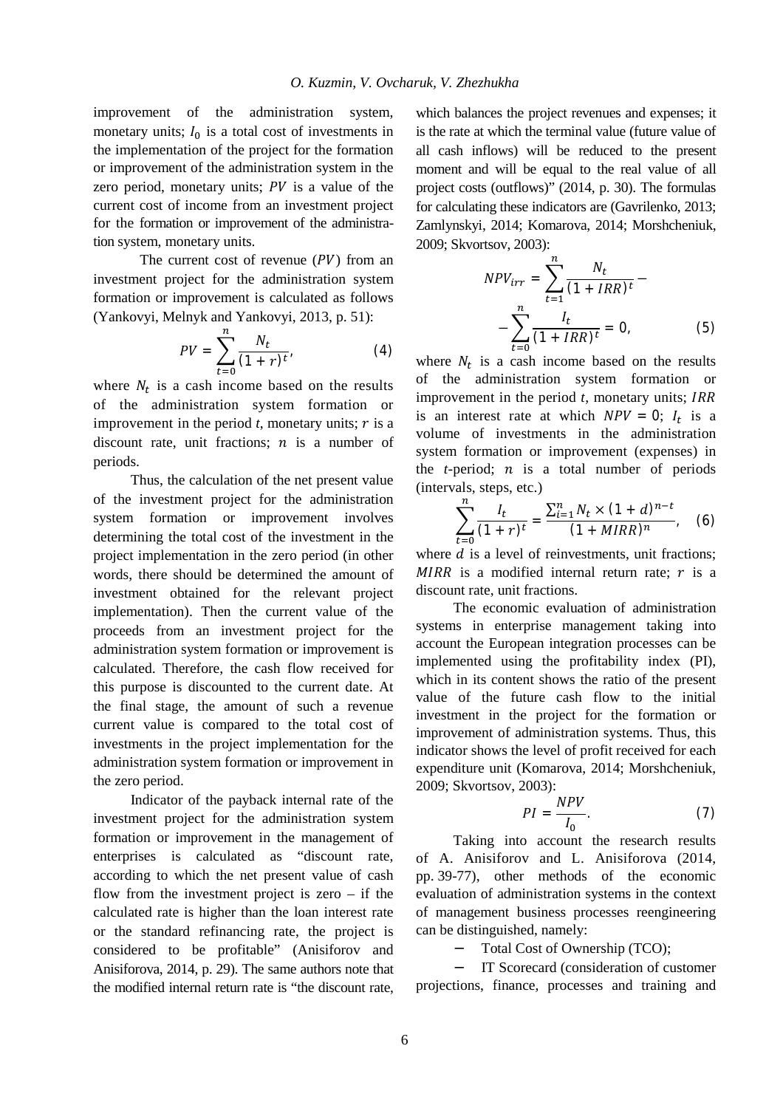improvement of the administration system, monetary units;  $I_0$  is a total cost of investments in the implementation of the project for the formation or improvement of the administration system in the zero period, monetary units;  $PV$  is a value of the current cost of income from an investment project for the formation or improvement of the administration system, monetary units.

The current cost of revenue  $(PV)$  from an investment project for the administration system formation or improvement is calculated as follows (Yankovyi, Melnyk and Yankovyi, 2013, p. 51):

$$
PV = \sum_{t=0}^{n} \frac{N_t}{(1+r)^t},
$$
 (4)

where  $N_t$  is a cash income based on the results of the administration system formation or improvement in the period  $t$ , monetary units;  $r$  is a discount rate, unit fractions;  $n$  is a number of periods.

Thus, the calculation of the net present value of the investment project for the administration system formation or improvement involves determining the total cost of the investment in the project implementation in the zero period (in other words, there should be determined the amount of investment obtained for the relevant project implementation). Then the current value of the proceeds from an investment project for the administration system formation or improvement is calculated. Therefore, the cash flow received for this purpose is discounted to the current date. At the final stage, the amount of such a revenue current value is compared to the total cost of investments in the project implementation for the administration system formation or improvement in the zero period.

Indicator of the payback internal rate of the investment project for the administration system formation or improvement in the management of enterprises is calculated as "discount rate, according to which the net present value of cash flow from the investment project is zero  $-$  if the calculated rate is higher than the loan interest rate or the standard refinancing rate, the project is considered to be profitable" (Anisiforov and Anisiforova, 2014, p. 29). The same authors note that the modified internal return rate is "the discount rate,

which balances the project revenues and expenses; it is the rate at which the terminal value (future value of all cash inflows) will be reduced to the present moment and will be equal to the real value of all project costs (outflows)" (2014, p. 30). The formulas for calculating these indicators are (Gavrilenko, 2013; Zamlynskyi, 2014; Komarova, 2014; Morshcheniuk, 2009; Skvortsov, 2003):

$$
NPV_{irr} = \sum_{t=1}^{n} \frac{N_t}{(1 + IRR)^t} - \sum_{t=0}^{n} \frac{I_t}{(1 + IRR)^t} = 0,
$$
 (5)

where  $N_t$  is a cash income based on the results of the administration system formation or improvement in the period *t*, monetary units; IRR is an interest rate at which  $NPV = 0$ ;  $I_t$  is a volume of investments in the administration system formation or improvement (expenses) in the  $t$ -period;  $n$  is a total number of periods (intervals, steps, etc.)

$$
\sum_{t=0}^{n} \frac{I_t}{(1+r)^t} = \frac{\sum_{i=1}^{n} N_t \times (1+d)^{n-t}}{(1+MIR)^n}, \quad (6)
$$

where *d* is a level of reinvestments, unit fractions; MIRR is a modified internal return rate;  $r$  is a discount rate, unit fractions.

The economic evaluation of administration systems in enterprise management taking into account the European integration processes can be implemented using the profitability index (PI), which in its content shows the ratio of the present value of the future cash flow to the initial investment in the project for the formation or improvement of administration systems. Thus, this indicator shows the level of profit received for each expenditure unit (Komarova, 2014; Morshcheniuk, 2009; Skvortsov, 2003):

$$
PI = \frac{NPV}{I_0}.\tag{7}
$$

Taking into account the research results of A. Anisiforov and L. Anisiforova (2014, pp. 39-77), other methods of the economic evaluation of administration systems in the context of management business processes reengineering can be distinguished, namely:

> Total Cost of Ownership (TCO);  $\mathbf{r}$

IT Scorecard (consideration of customer projections, finance, processes and training and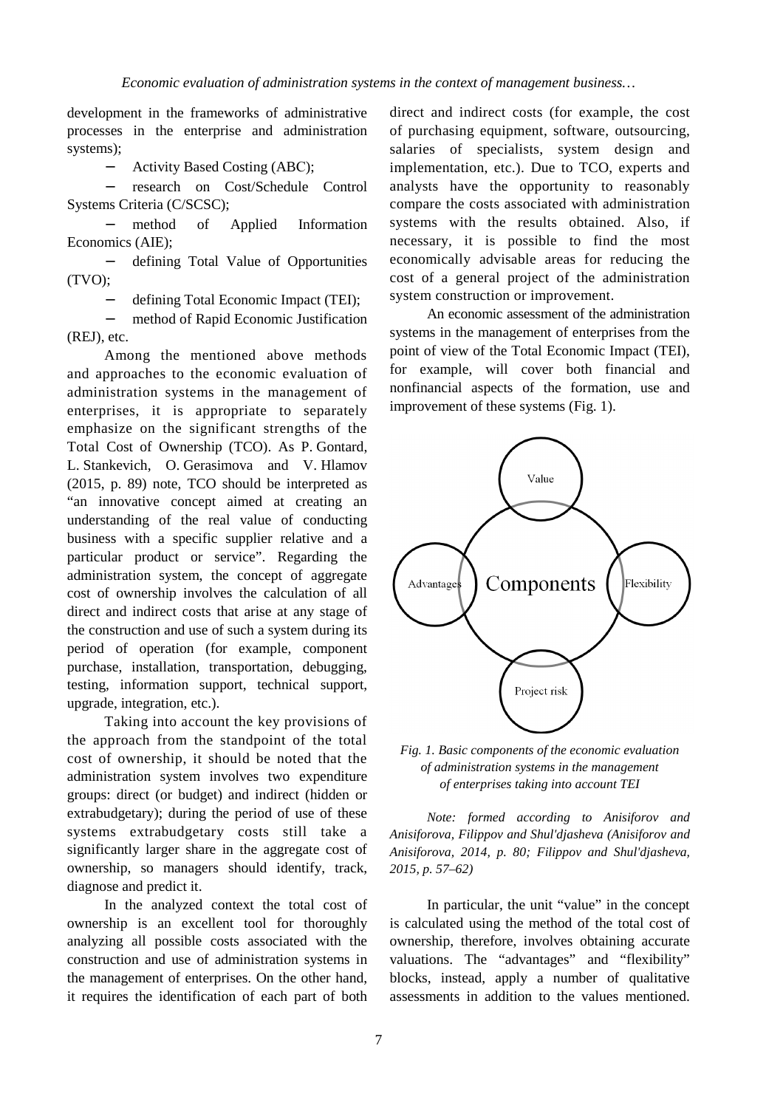development in the frameworks of administrative processes in the enterprise and administration systems);

Activity Based Costing (ABС);

research on Cost/Schedule Control  $\overline{a}$ Systems Criteria (C/SCSC);

method of Applied Information Economics (AIE);

defining Total Value of Opportunities (TVO);

defining Total Economic Impact (TEI);

method of Rapid Economic Justification (REJ), etc.

Among the mentioned above methods and approaches to the economic evaluation of administration systems in the management of enterprises, it is appropriate to separately emphasize on the significant strengths of the Total Cost of Ownership (TCO). As P. Gontard, L. Stankevich, O. Gerasimova and V. Hlamov (2015, p. 89) note, TCO should be interpreted as "an innovative concept aimed at creating an understanding of the real value of conducting business with a specific supplier relative and a particular product or service". Regarding the administration system, the concept of aggregate cost of ownership involves the calculation of all direct and indirect costs that arise at any stage of the construction and use of such a system during its period of operation (for example, component purchase, installation, transportation, debugging, testing, information support, technical support, upgrade, integration, etc.).

Taking into account the key provisions of the approach from the standpoint of the total cost of ownership, it should be noted that the administration system involves two expenditure groups: direct (or budget) and indirect (hidden or extrabudgetary); during the period of use of these systems extrabudgetary costs still take a significantly larger share in the aggregate cost of ownership, so managers should identify, track, diagnose and predict it.

In the analyzed context the total cost of ownership is an excellent tool for thoroughly analyzing all possible costs associated with the construction and use of administration systems in the management of enterprises. On the other hand, it requires the identification of each part of both direct and indirect costs (for example, the cost of purchasing equipment, software, outsourcing, salaries of specialists, system design and implementation, etc.). Due to TCO, experts and analysts have the opportunity to reasonably compare the costs associated with administration systems with the results obtained. Also, if necessary, it is possible to find the most economically advisable areas for reducing the cost of a general project of the administration system construction or improvement.

An economic assessment of the administration systems in the management of enterprises from the point of view of the Total Economic Impact (TEI), for example, will cover both financial and nonfinancial aspects of the formation, use and improvement of these systems (Fig. 1).



*Fig. 1. Basic components of the economic evaluation of administration systems in the management of enterprises taking into account TEI* 

*Note: formed according to Anisiforov and Anisiforova, Filippov and Shul'djasheva (Anisiforov and Anisiforova, 2014, p. 80; Filippov and Shul'djasheva, 2015, p. 57–62)* 

In particular, the unit "value" in the concept is calculated using the method of the total cost of ownership, therefore, involves obtaining accurate valuations. The "advantages" and "flexibility" blocks, instead, apply a number of qualitative assessments in addition to the values mentioned.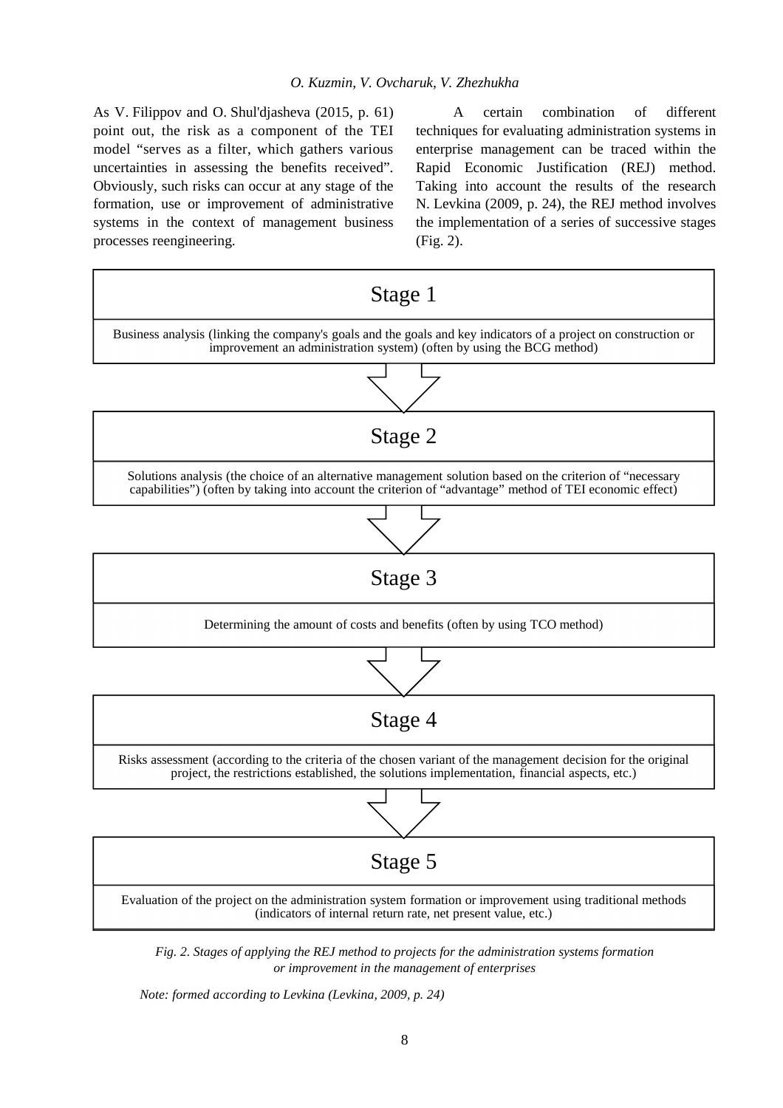As V. Filippov and O. Shul'djasheva (2015, p. 61) point out, the risk as a component of the TEI model "serves as a filter, which gathers various uncertainties in assessing the benefits received". Obviously, such risks can occur at any stage of the formation, use or improvement of administrative systems in the context of management business processes reengineering.

A certain combination of different techniques for evaluating administration systems in enterprise management can be traced within the Rapid Economic Justification (REJ) method. Taking into account the results of the research N. Levkina (2009, p. 24), the REJ method involves the implementation of a series of successive stages (Fig. 2).



*Fig. 2. Stages of applying the REJ method to projects for the administration systems formation or improvement in the management of enterprises* 

*Note: formed according to Levkina (Levkina, 2009, p. 24)*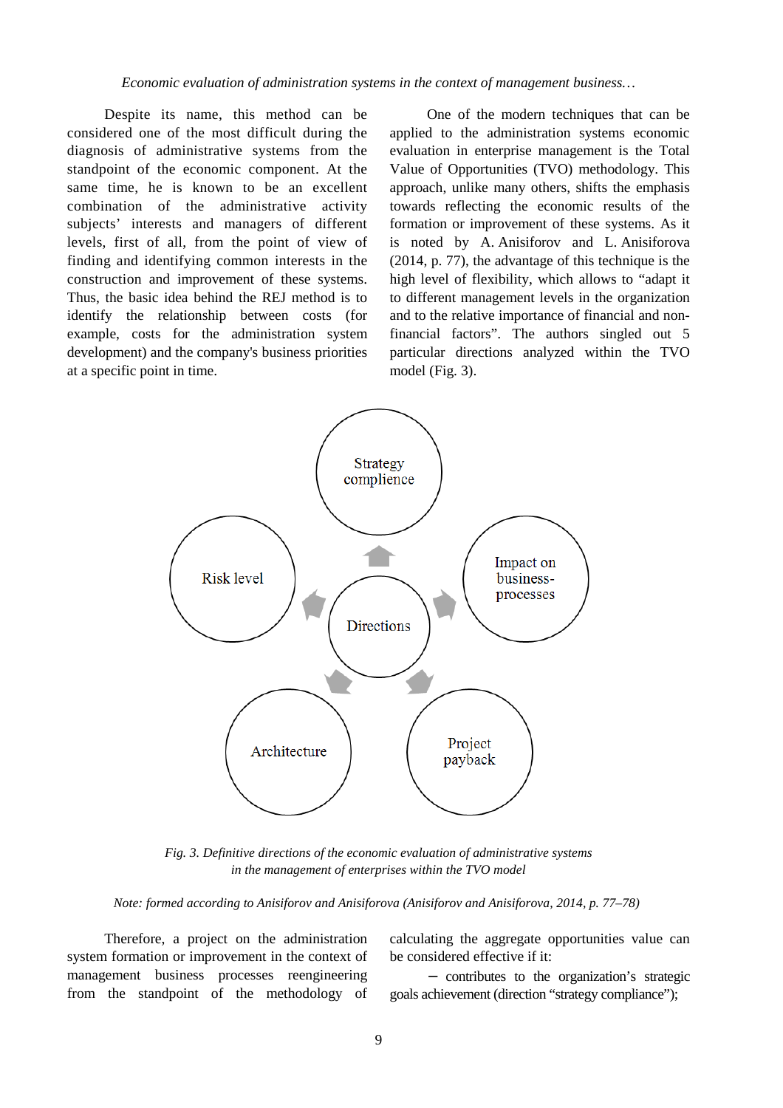*Economic evaluation of administration systems in the context of management business…* 

Despite its name, this method can be considered one of the most difficult during the diagnosis of administrative systems from the standpoint of the economic component. At the same time, he is known to be an excellent combination of the administrative activity subjects' interests and managers of different levels, first of all, from the point of view of finding and identifying common interests in the construction and improvement of these systems. Thus, the basic idea behind the REJ method is to identify the relationship between costs (for example, costs for the administration system development) and the company's business priorities at a specific point in time.

One of the modern techniques that can be applied to the administration systems economic evaluation in enterprise management is the Total Value of Opportunities (TVO) methodology. This approach, unlike many others, shifts the emphasis towards reflecting the economic results of the formation or improvement of these systems. As it is noted by A. Anisiforov and L. Anisiforova (2014, p. 77), the advantage of this technique is the high level of flexibility, which allows to "adapt it to different management levels in the organization and to the relative importance of financial and nonfinancial factors". The authors singled out 5 particular directions analyzed within the TVO model (Fig. 3).



*Fig. 3. Definitive directions of the economic evaluation of administrative systems in the management of enterprises within the TVO model* 

*Note: formed according to Anisiforov and Anisiforova (Anisiforov and Anisiforova, 2014, p. 77–78)* 

Therefore, a project on the administration system formation or improvement in the context of management business processes reengineering from the standpoint of the methodology of calculating the aggregate opportunities value can be considered effective if it:

- contributes to the organization's strategic goals achievement (direction "strategy compliance");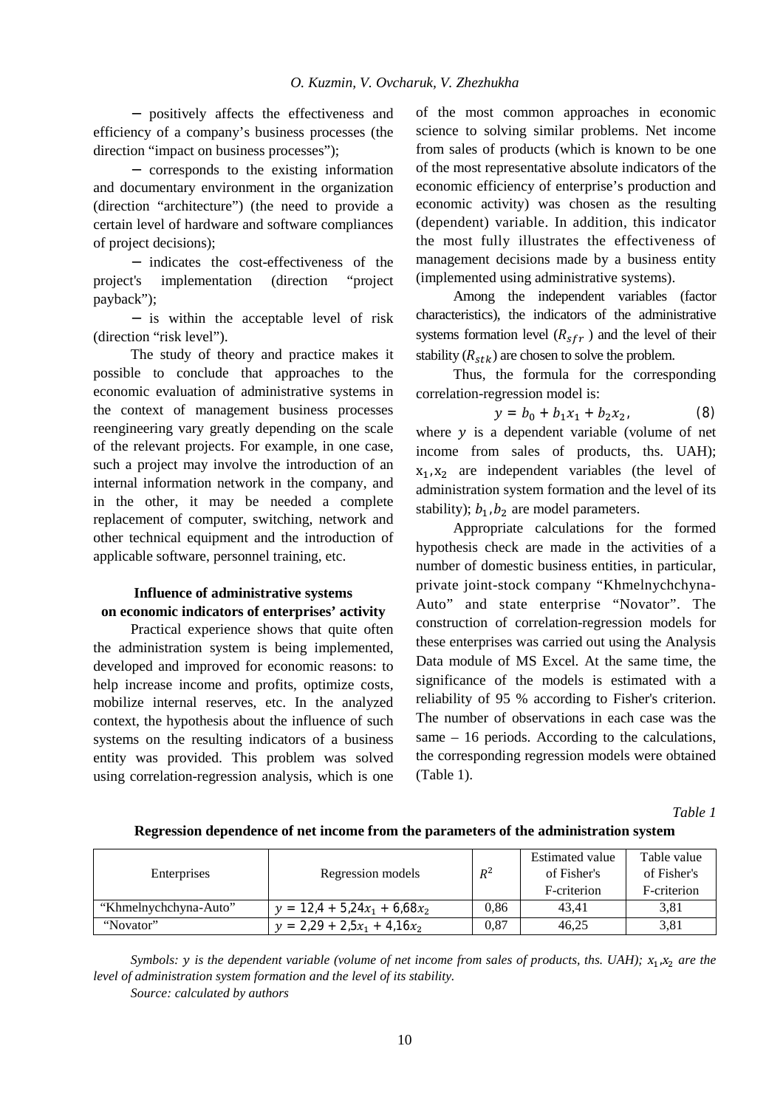positively affects the effectiveness and efficiency of a company's business processes (the direction "impact on business processes");

corresponds to the existing information and documentary environment in the organization (direction "architecture") (the need to provide a certain level of hardware and software compliances of project decisions);

- indicates the cost-effectiveness of the project's implementation (direction "project payback");

- is within the acceptable level of risk (direction "risk level").

The study of theory and practice makes it possible to conclude that approaches to the economic evaluation of administrative systems in the context of management business processes reengineering vary greatly depending on the scale of the relevant projects. For example, in one case, such a project may involve the introduction of an internal information network in the company, and in the other, it may be needed a complete replacement of computer, switching, network and other technical equipment and the introduction of applicable software, personnel training, etc.

## **Influence of administrative systems on economic indicators of enterprises' activity**

Practical experience shows that quite often the administration system is being implemented, developed and improved for economic reasons: to help increase income and profits, optimize costs, mobilize internal reserves, etc. In the analyzed context, the hypothesis about the influence of such systems on the resulting indicators of a business entity was provided. This problem was solved using correlation-regression analysis, which is one of the most common approaches in economic science to solving similar problems. Net income from sales of products (which is known to be one of the most representative absolute indicators of the economic efficiency of enterprise's production and economic activity) was chosen as the resulting (dependent) variable. In addition, this indicator the most fully illustrates the effectiveness of management decisions made by a business entity (implemented using administrative systems).

Among the independent variables (factor characteristics), the indicators of the administrative systems formation level  $(R_{sfr})$  and the level of their stability  $(R_{stk})$  are chosen to solve the problem.

Thus, the formula for the corresponding correlation-regression model is:

$$
y = b_0 + b_1 x_1 + b_2 x_2, \tag{8}
$$

where  $y$  is a dependent variable (volume of net income from sales of products, ths. UAH);  $x_1, x_2$  are independent variables (the level of administration system formation and the level of its stability);  $b_1$ ,  $b_2$  are model parameters.

Appropriate calculations for the formed hypothesis check are made in the activities of a number of domestic business entities, in particular, private joint-stock company "Khmelnychchyna-Auto" and state enterprise "Novator". The construction of correlation-regression models for these enterprises was carried out using the Analysis Data module of MS Excel. At the same time, the significance of the models is estimated with a reliability of 95 % according to Fisher's criterion. The number of observations in each case was the same – 16 periods. According to the calculations, the corresponding regression models were obtained (Table 1).

*Table 1* 

| Enterprises           | Regression models              | $R^2$ | Estimated value<br>of Fisher's<br>F-criterion | Table value<br>of Fisher's<br>F-criterion |
|-----------------------|--------------------------------|-------|-----------------------------------------------|-------------------------------------------|
| "Khmelnychchyna-Auto" | $y = 12.4 + 5.24x_1 + 6.68x_2$ | 0.86  | 43.41                                         | 3,81                                      |
| "Novator"             | $y = 2,29 + 2,5x_1 + 4,16x_2$  | 0,87  | 46.25                                         | 3,81                                      |

**Regression dependence of net income from the parameters of the administration system** 

Symbols: y is the dependent variable (volume of net income from sales of products, ths. UAH);  $x_1, x_2$  are the *level of administration system formation and the level of its stability.* 

*Source: calculated by authors*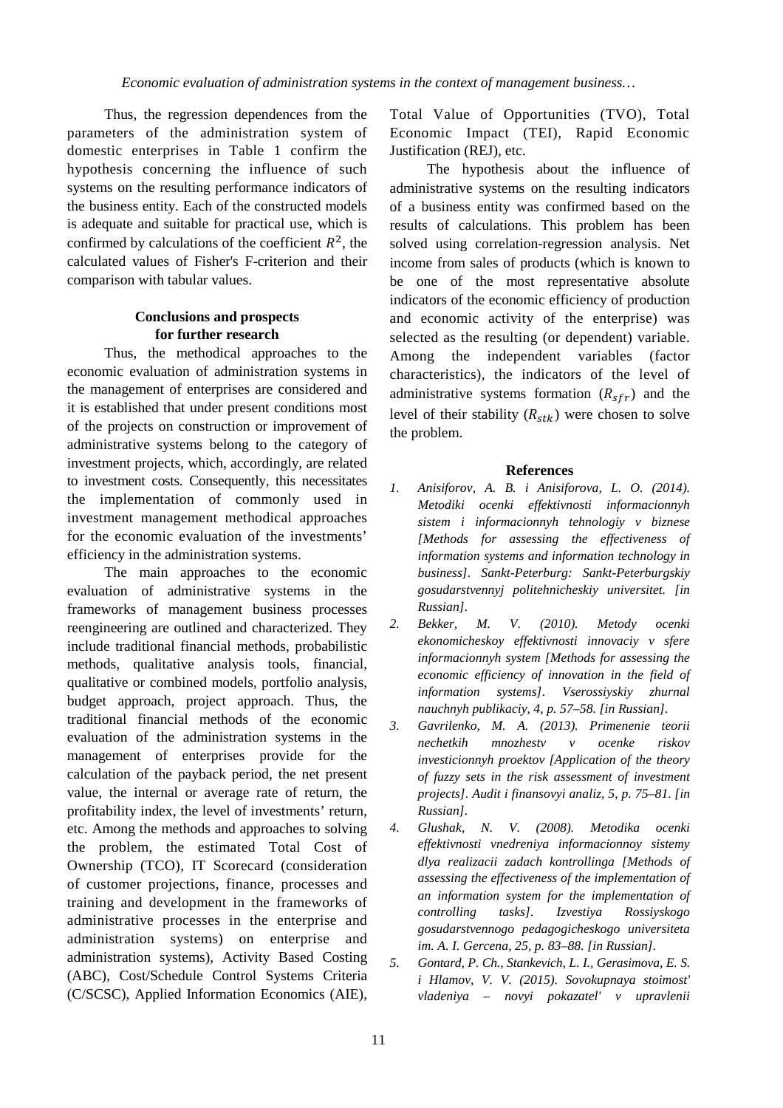Thus, the regression dependences from the parameters of the administration system of domestic enterprises in Table 1 confirm the hypothesis concerning the influence of such systems on the resulting performance indicators of the business entity. Each of the constructed models is adequate and suitable for practical use, which is confirmed by calculations of the coefficient  $R^2$ , the calculated values of Fisher's F-criterion and their comparison with tabular values.

## **Conclusions and prospects for further research**

Thus, the methodical approaches to the economic evaluation of administration systems in the management of enterprises are considered and it is established that under present conditions most of the projects on construction or improvement of administrative systems belong to the category of investment projects, which, accordingly, are related to investment costs. Consequently, this necessitates the implementation of commonly used in investment management methodical approaches for the economic evaluation of the investments' efficiency in the administration systems.

The main approaches to the economic evaluation of administrative systems in the frameworks of management business processes reengineering are outlined and characterized. They include traditional financial methods, probabilistic methods, qualitative analysis tools, financial, qualitative or combined models, portfolio analysis, budget approach, project approach. Thus, the traditional financial methods of the economic evaluation of the administration systems in the management of enterprises provide for the calculation of the payback period, the net present value, the internal or average rate of return, the profitability index, the level of investments' return, etc. Among the methods and approaches to solving the problem, the estimated Total Cost of Ownership (TCO), IT Scorecard (consideration of customer projections, finance, processes and training and development in the frameworks of administrative processes in the enterprise and administration systems) on enterprise and administration systems), Activity Based Costing (ABC), Cost/Schedule Control Systems Criteria (C/SCSC), Applied Information Economics (AIE),

Total Value of Opportunities (TVO), Total Economic Impact (TEI), Rapid Economic Justification (REJ), etc.

The hypothesis about the influence of administrative systems on the resulting indicators of a business entity was confirmed based on the results of calculations. This problem has been solved using correlation-regression analysis. Net income from sales of products (which is known to be one of the most representative absolute indicators of the economic efficiency of production and economic activity of the enterprise) was selected as the resulting (or dependent) variable. Among the independent variables (factor characteristics), the indicators of the level of administrative systems formation  $(R_{sfr})$  and the level of their stability  $(R_{stk})$  were chosen to solve the problem.

#### **References**

- *1. Anisiforov, A. B. i Anisiforova, L. O. (2014). Metodiki ocenki effektivnosti informacionnyh sistem i informacionnyh tehnologiy v biznese [Methods for assessing the effectiveness of information systems and information technology in business]. Sankt-Peterburg: Sankt-Peterburgskiy gosudarstvennyj politehnicheskiy universitet. [in Russian].*
- *2. Bekker, M. V. (2010). Metody ocenki ekonomicheskoy effektivnosti innovaciy v sfere informacionnyh system [Methods for assessing the economic efficiency of innovation in the field of information systems]. Vserossiyskiy zhurnal nauchnyh publikaciy, 4, p. 57–58. [in Russian].*
- *3. Gavrilenko, M. A. (2013). Primenenie teorii nechetkih mnozhestv v ocenke riskov investicionnyh proektov [Application of the theory of fuzzy sets in the risk assessment of investment projects]. Audit i finansovyi analiz, 5, p. 75–81. [in Russian].*
- *4. Glushak, N. V. (2008). Metodika ocenki effektivnosti vnedreniya informacionnoy sistemy dlya realizacii zadach kontrollinga [Methods of assessing the effectiveness of the implementation of an information system for the implementation of controlling tasks]. Izvestiya Rossiyskogo gosudarstvennogo pedagogicheskogo universiteta im. A. I. Gercena, 25, p. 83–88. [in Russian].*
- *5. Gontard, P. Ch., Stankevich, L. I., Gerasimova, E. S. i Hlamov, V. V. (2015). Sovokupnaya stoimost' vladeniya – novyi pokazatel' v upravlenii*